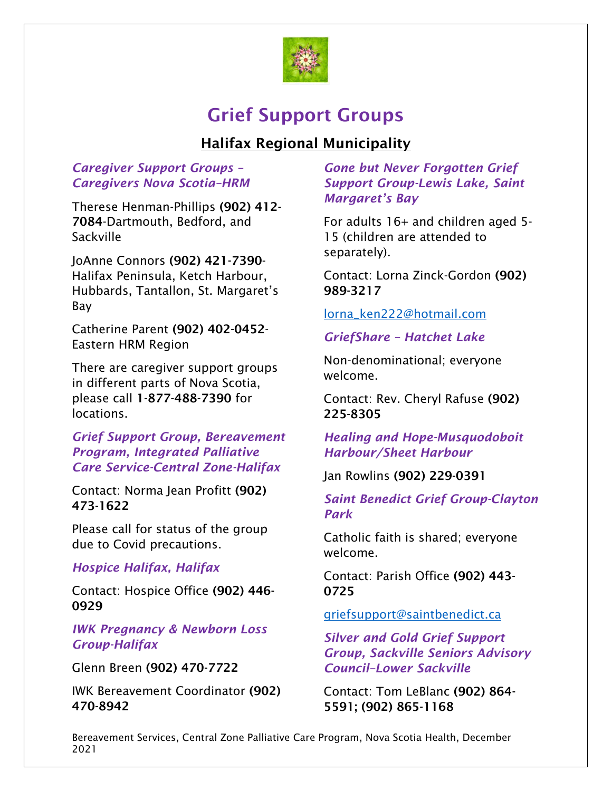

# Grief Support Groups

# Halifax Regional Municipality

#### *Caregiver Support Groups – Caregivers Nova Scotia–HRM*

Therese Henman-Phillips (902) 412- 7084-Dartmouth, Bedford, and **Sackville** 

JoAnne Connors (902) 421-7390- Halifax Peninsula, Ketch Harbour, Hubbards, Tantallon, St. Margaret's Bay

Catherine Parent (902) 402-0452- Eastern HRM Region

There are caregiver support groups in different parts of Nova Scotia, please call 1-877-488-7390 for locations.

*Grief Support Group, Bereavement Program, Integrated Palliative Care Service-Central Zone-Halifax*

Contact: Norma Jean Profitt (902) 473-1622

Please call for status of the group due to Covid precautions.

## *Hospice Halifax, Halifax*

Contact: Hospice Office (902) 446- 0929

*IWK Pregnancy & Newborn Loss Group-Halifax*

Glenn Breen (902) 470-7722

IWK Bereavement Coordinator (902) 470-8942

*Gone but Never Forgotten Grief Support Group-Lewis Lake, Saint Margaret's Bay*

For adults 16+ and children aged 5- 15 (children are attended to separately).

Contact: Lorna Zinck-Gordon (902) 989-3217

#### [lorna\\_ken222@hotmail.com](mailto:lorna_ken222@hotmail.com)

*GriefShare – Hatchet Lake*

Non-denominational; everyone welcome.

Contact: Rev. Cheryl Rafuse (902) 225-8305

*Healing and Hope-Musquodoboit Harbour/Sheet Harbour*

Jan Rowlins (902) 229-0391

*Saint Benedict Grief Group-Clayton Park*

Catholic faith is shared; everyone welcome.

Contact: Parish Office (902) 443- 0725

[griefsupport@saintbenedict.ca](mailto:griefsupport@saintbenedict.ca)

*Silver and Gold Grief Support Group, Sackville Seniors Advisory Council–Lower Sackville*

Contact: Tom LeBlanc (902) 864- 5591; (902) 865-1168

Bereavement Services, Central Zone Palliative Care Program, Nova Scotia Health, December 2021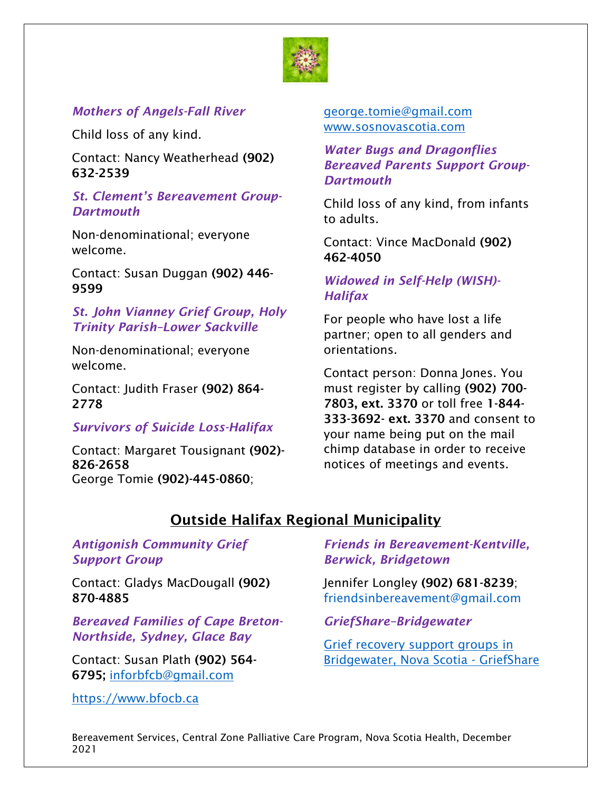

# *Mothers of Angels-Fall River*

Child loss of any kind.

Contact: Nancy Weatherhead (902) 632-2539

#### *St. Clement's Bereavement Group-Dartmouth*

Non-denominational; everyone welcome.

Contact: Susan Duggan (902) 446- 9599

#### *St. John Vianney Grief Group, Holy Trinity Parish–Lower Sackville*

Non-denominational; everyone welcome.

Contact: Judith Fraser (902) 864- 2778

## *Survivors of Suicide Loss-Halifax*

Contact: Margaret Tousignant (902)- 826-2658 George Tomie (902)-445-0860;

#### [george.tomie@gmail.com](mailto:george.tomie@gmail.com) [www.sosnovascotia.com](http://www.sosnovascotia.com/)

*Water Bugs and Dragonflies Bereaved Parents Support Group-Dartmouth*

Child loss of any kind, from infants to adults.

Contact: Vince MacDonald (902) 462-4050

## *Widowed in Self-Help (WISH)- Halifax*

For people who have lost a life partner; open to all genders and orientations.

Contact person: Donna Jones. You must register by calling (902) 700- 7803, ext. 3370 or toll free 1-844- 333-3692- ext. 3370 and consent to your name being put on the mail chimp database in order to receive notices of meetings and events.

# Outside Halifax Regional Municipality

#### *Antigonish Community Grief Support Group*

Contact: Gladys MacDougall (902) 870-4885

*Bereaved Families of Cape Breton-Northside, Sydney, Glace Bay*

Contact: Susan Plath (902) 564- 6795; [inforbfcb@gmail.com](mailto:inforbfcb@gmail.com)

[https://www.bfocb.ca](https://www.bfocb.ca/)

*Friends in Bereavement-Kentville, Berwick, Bridgetown*

Jennifer Longley (902) 681-8239; [friendsinbereavement@gmail.com](mailto:friendsinbereavement@gmail.com)

*GriefShare–Bridgewater*

[Grief recovery support groups in](https://www.griefshare.org/countries/ca/states/ns/cities/bridgewater)  [Bridgewater, Nova Scotia -](https://www.griefshare.org/countries/ca/states/ns/cities/bridgewater) GriefShare

Bereavement Services, Central Zone Palliative Care Program, Nova Scotia Health, December 2021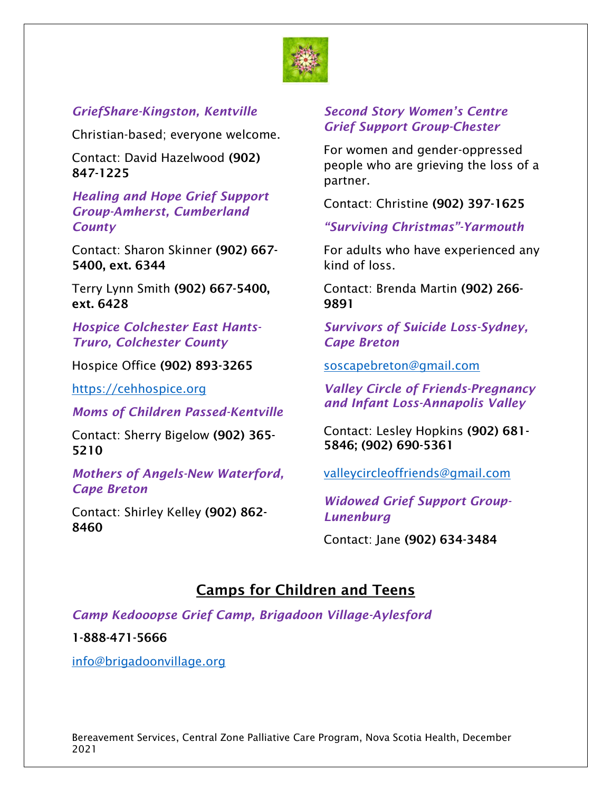

## *GriefShare-Kingston, Kentville*

Christian-based; everyone welcome.

Contact: David Hazelwood (902) 847-1225

#### *Healing and Hope Grief Support Group-Amherst, Cumberland County*

Contact: Sharon Skinner (902) 667- 5400, ext. 6344

Terry Lynn Smith (902) 667-5400, ext. 6428

*Hospice Colchester East Hants-Truro, Colchester County*

Hospice Office (902) 893-3265

[https://cehhospice.org](https://cehhospice.org/)

## *Moms of Children Passed-Kentville*

Contact: Sherry Bigelow (902) 365- 5210

*Mothers of Angels-New Waterford, Cape Breton*

Contact: Shirley Kelley (902) 862- 8460

## *Second Story Women's Centre Grief Support Group-Chester*

For women and gender-oppressed people who are grieving the loss of a partner.

Contact: Christine (902) 397-1625

*"Surviving Christmas"-Yarmouth*

For adults who have experienced any kind of loss.

Contact: Brenda Martin (902) 266- 9891

*Survivors of Suicide Loss-Sydney, Cape Breton*

[soscapebreton@gmail.com](mailto:soscapebreton@gmail.com)

*Valley Circle of Friends-Pregnancy and Infant Loss-Annapolis Valley*

Contact: Lesley Hopkins (902) 681- 5846; (902) 690-5361

[valleycircleoffriends@gmail.com](mailto:valleycircleoffriends@gmail.com)

*Widowed Grief Support Group-Lunenburg*

Contact: Jane (902) 634-3484

# Camps for Children and Teens

*Camp Kedooopse Grief Camp, Brigadoon Village-Aylesford*

#### 1-888-471-5666

[info@brigadoonvillage.org](mailto:info@brigadoonvillage.org)

Bereavement Services, Central Zone Palliative Care Program, Nova Scotia Health, December 2021